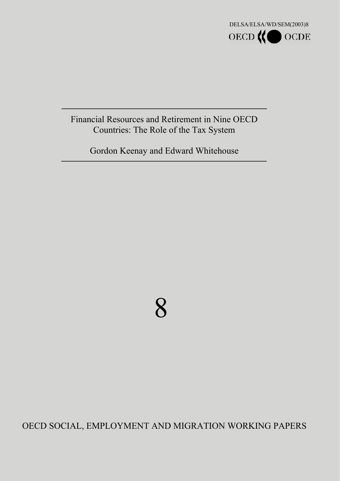

### Financial Resources and Retirement in Nine OECD Countries: The Role of the Tax System

Gordon Keenay and Edward Whitehouse

# 8

### OECD SOCIAL, EMPLOYMENT AND MIGRATION WORKING PAPERS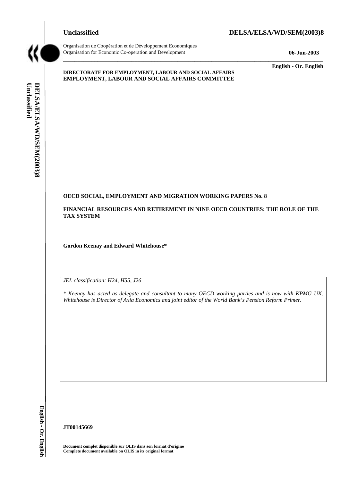



Organisation de Coopération et de Développement Economiques Organisation for Economic Co-operation and Development **06-Jun-2003** 

**English - Or. English** 

### **DIRECTORATE FOR EMPLOYMENT, LABOUR AND SOCIAL AFFAIRS EMPLOYMENT, LABOUR AND SOCIAL AFFAIRS COMMITTEE**

### **OECD SOCIAL, EMPLOYMENT AND MIGRATION WORKING PAPERS No. 8**

**FINANCIAL RESOURCES AND RETIREMENT IN NINE OECD COUNTRIES: THE ROLE OF THE TAX SYSTEM** 

 $\_$  ,  $\_$  ,  $\_$  ,  $\_$  ,  $\_$  ,  $\_$  ,  $\_$  ,  $\_$  ,  $\_$  ,  $\_$  ,  $\_$  ,  $\_$  ,  $\_$  ,  $\_$  ,  $\_$  ,  $\_$  ,  $\_$  ,  $\_$  ,  $\_$  ,  $\_$  ,  $\_$  ,  $\_$  ,  $\_$  ,  $\_$  ,  $\_$  ,  $\_$  ,  $\_$  ,  $\_$  ,  $\_$  ,  $\_$  ,  $\_$  ,  $\_$  ,  $\_$  ,  $\_$  ,  $\_$  ,  $\_$  ,  $\_$  ,

**Gordon Keenay and Edward Whitehouse\*** 

*JEL classification: H24, H55, J26* 

*\* Keenay has acted as delegate and consultant to many OECD working parties and is now with KPMG UK. Whitehouse is Director of Axia Economics and joint editor of the World Bank's Pension Reform Primer.* 

**JT00145669** 

**Document complet disponible sur OLIS dans son format d'origine Complete document available on OLIS in its original format**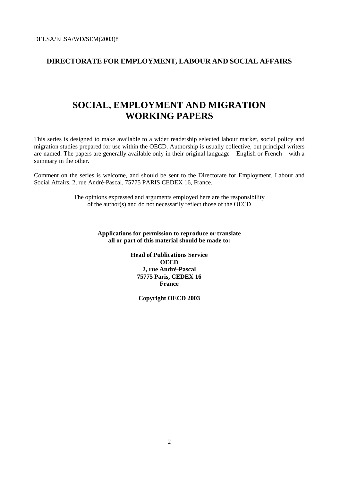### **DIRECTORATE FOR EMPLOYMENT, LABOUR AND SOCIAL AFFAIRS**

### **SOCIAL, EMPLOYMENT AND MIGRATION WORKING PAPERS**

This series is designed to make available to a wider readership selected labour market, social policy and migration studies prepared for use within the OECD. Authorship is usually collective, but principal writers are named. The papers are generally available only in their original language – English or French – with a summary in the other.

Comment on the series is welcome, and should be sent to the Directorate for Employment, Labour and Social Affairs, 2, rue André-Pascal, 75775 PARIS CEDEX 16, France.

> The opinions expressed and arguments employed here are the responsibility of the author(s) and do not necessarily reflect those of the OECD

> > **Applications for permission to reproduce or translate all or part of this material should be made to:**

> > > **Head of Publications Service OECD 2, rue André-Pascal 75775 Paris, CEDEX 16 France**

> > > > **Copyright OECD 2003**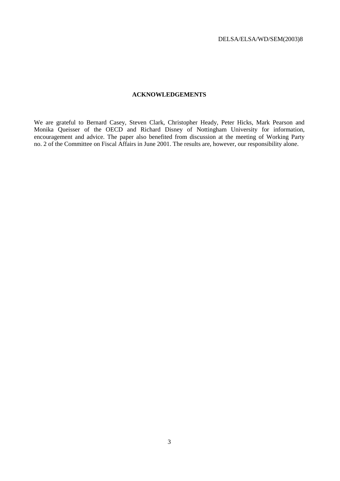### **ACKNOWLEDGEMENTS**

We are grateful to Bernard Casey, Steven Clark, Christopher Heady, Peter Hicks, Mark Pearson and Monika Queisser of the OECD and Richard Disney of Nottingham University for information, encouragement and advice. The paper also benefited from discussion at the meeting of Working Party no. 2 of the Committee on Fiscal Affairs in June 2001. The results are, however, our responsibility alone.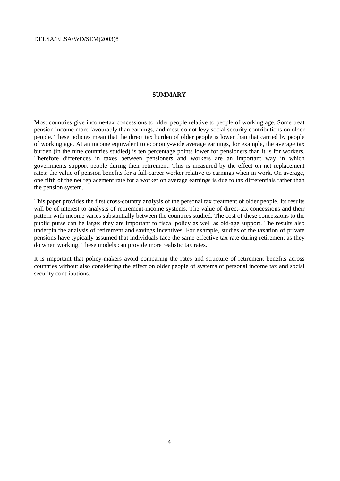### **SUMMARY**

Most countries give income-tax concessions to older people relative to people of working age. Some treat pension income more favourably than earnings, and most do not levy social security contributions on older people. These policies mean that the direct tax burden of older people is lower than that carried by people of working age. At an income equivalent to economy-wide average earnings, for example, the average tax burden (in the nine countries studied) is ten percentage points lower for pensioners than it is for workers. Therefore differences in taxes between pensioners and workers are an important way in which governments support people during their retirement. This is measured by the effect on net replacement rates: the value of pension benefits for a full-career worker relative to earnings when in work. On average, one fifth of the net replacement rate for a worker on average earnings is due to tax differentials rather than the pension system.

This paper provides the first cross-country analysis of the personal tax treatment of older people. Its results will be of interest to analysts of retirement-income systems. The value of direct-tax concessions and their pattern with income varies substantially between the countries studied. The cost of these concessions to the public purse can be large: they are important to fiscal policy as well as old-age support. The results also underpin the analysis of retirement and savings incentives. For example, studies of the taxation of private pensions have typically assumed that individuals face the same effective tax rate during retirement as they do when working. These models can provide more realistic tax rates.

It is important that policy-makers avoid comparing the rates and structure of retirement benefits across countries without also considering the effect on older people of systems of personal income tax and social security contributions.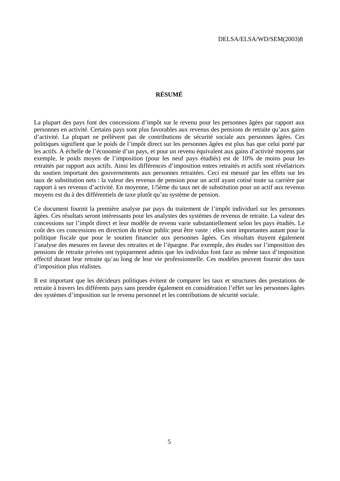### **RÉSUMÉ**

La plupart des pays font des concessions d'impôt sur le revenu pour les personnes âgées par rapport aux personnes en activité. Certains pays sont plus favorables aux revenus des pensions de retraite qu'aux gains d'activité. La plupart ne prélèvent pas de contributions de sécurité sociale aux personnes âgées. Ces politiques signifient que le poids de l'impôt direct sur les personnes âgées est plus bas que celui porté par les actifs. A échelle de l'économie d'un pays, et pour un revenu équivalent aux gains d'activité moyens par exemple, le poids moyen de l'imposition (pour les neuf pays étudiés) est de 10% de moins pour les retraités par rapport aux actifs. Ainsi les différences d'imposition entres retraités et actifs sont révélatrices du soutien important des gouvernements aux personnes retraitées. Ceci est mesuré par les effets sur les taux de substitution nets : la valeur des revenus de pension pour un actif ayant cotisé toute sa carrière par rapport à ses revenus d'activité. En moyenne, 1/5ème du taux net de substitution pour un actif aux revenus moyens est du à des différentiels de taxe plutôt qu'au système de pension.

Ce document fournit la première analyse par pays du traitement de l'impôt individuel sur les personnes âgées. Ces résultats seront intéressants pour les analystes des systèmes de revenus de retraite. La valeur des concessions sur l'impôt direct et leur modèle de revenu varie substantiellement selon les pays étudiés. Le coût des ces concessions en direction du trésor public peut être vaste : elles sont importantes autant pour la politique fiscale que pour le soutien financier aux personnes âgées. Ces résultats étayent également l'analyse des mesures en faveur des retraites et de l'épargne. Par exemple, des études sur l'imposition des pensions de retraite privées ont typiquement admis que les individus font face au même taux d'imposition effectif durant leur retraite qu'au long de leur vie professionnelle. Ces modèles peuvent fournir des taux d'imposition plus réalistes.

Il est important que les décideurs politiques évitent de comparer les taux et structures des prestations de retraite à travers les différents pays sans prendre également en considération l'effet sur les personnes âgées des systèmes d'imposition sur le revenu personnel et les contributions de sécurité sociale.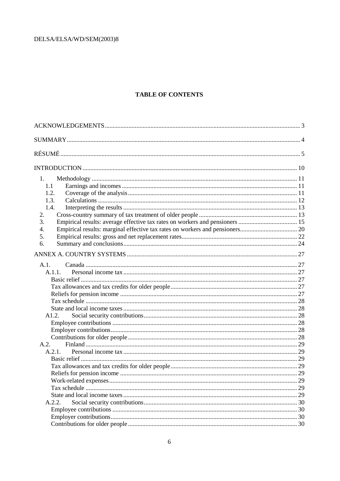### **TABLE OF CONTENTS**

| 1.     |  |
|--------|--|
| 1.1    |  |
| 1.2.   |  |
| 1.3.   |  |
| 1.4.   |  |
| 2.     |  |
| 3.     |  |
| 4.     |  |
| 5.     |  |
| 6.     |  |
|        |  |
| A.1.   |  |
| A.1.1. |  |
|        |  |
|        |  |
|        |  |
|        |  |
|        |  |
| A1.2.  |  |
|        |  |
|        |  |
|        |  |
| A.2.   |  |
| A.2.1. |  |
|        |  |
|        |  |
|        |  |
|        |  |
|        |  |
|        |  |
| A.2.2. |  |
|        |  |
|        |  |
|        |  |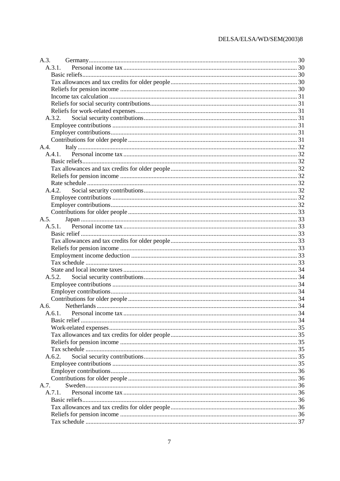| A.3. |              |  |
|------|--------------|--|
|      | A.3.1.       |  |
|      |              |  |
|      |              |  |
|      |              |  |
|      |              |  |
|      |              |  |
|      |              |  |
|      | A.3.2.       |  |
|      |              |  |
|      |              |  |
|      |              |  |
|      |              |  |
|      | A.4.1.       |  |
|      |              |  |
|      |              |  |
|      |              |  |
|      |              |  |
|      | A.4.2.       |  |
|      |              |  |
|      |              |  |
|      |              |  |
| A.5. |              |  |
|      |              |  |
|      |              |  |
|      |              |  |
|      |              |  |
|      |              |  |
|      |              |  |
|      |              |  |
|      | A.5.2.       |  |
|      |              |  |
|      |              |  |
|      |              |  |
|      |              |  |
|      |              |  |
|      |              |  |
|      | Basic relief |  |
|      |              |  |
|      |              |  |
|      |              |  |
|      |              |  |
|      | A.6.2.       |  |
|      |              |  |
|      |              |  |
|      |              |  |
| A.7. |              |  |
|      | A.7.1.       |  |
|      |              |  |
|      |              |  |
|      |              |  |
|      |              |  |
|      |              |  |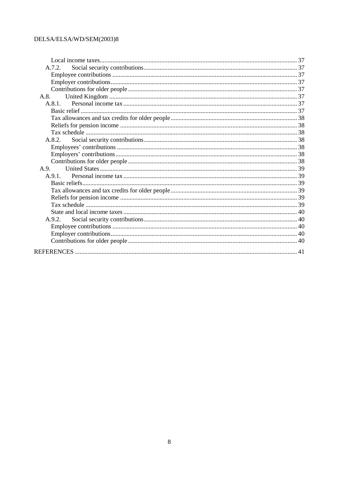| A.7.2. |  |
|--------|--|
|        |  |
|        |  |
|        |  |
|        |  |
| A.8.1. |  |
|        |  |
|        |  |
|        |  |
|        |  |
| A.8.2. |  |
|        |  |
|        |  |
|        |  |
| A.9.   |  |
|        |  |
|        |  |
|        |  |
|        |  |
|        |  |
|        |  |
| A.9.2. |  |
|        |  |
|        |  |
|        |  |
|        |  |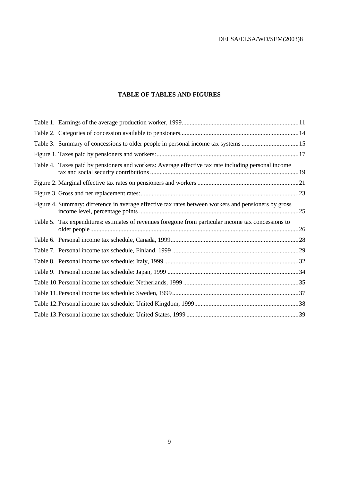### **TABLE OF TABLES AND FIGURES**

| Table 3. Summary of concessions to older people in personal income tax systems 15                    |  |
|------------------------------------------------------------------------------------------------------|--|
|                                                                                                      |  |
| Table 4. Taxes paid by pensioners and workers: Average effective tax rate including personal income  |  |
|                                                                                                      |  |
|                                                                                                      |  |
| Figure 4. Summary: difference in average effective tax rates between workers and pensioners by gross |  |
| Table 5. Tax expenditures: estimates of revenues foregone from particular income tax concessions to  |  |
|                                                                                                      |  |
|                                                                                                      |  |
|                                                                                                      |  |
|                                                                                                      |  |
|                                                                                                      |  |
|                                                                                                      |  |
|                                                                                                      |  |
|                                                                                                      |  |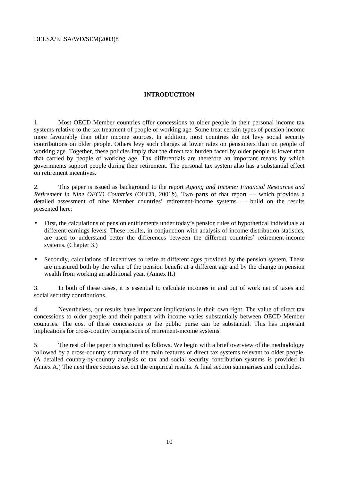### **INTRODUCTION**

1. Most OECD Member countries offer concessions to older people in their personal income tax systems relative to the tax treatment of people of working age. Some treat certain types of pension income more favourably than other income sources. In addition, most countries do not levy social security contributions on older people. Others levy such charges at lower rates on pensioners than on people of working age. Together, these policies imply that the direct tax burden faced by older people is lower than that carried by people of working age. Tax differentials are therefore an important means by which governments support people during their retirement. The personal tax system also has a substantial effect on retirement incentives.

2. This paper is issued as background to the report *Ageing and Income: Financial Resources and Retirement in Nine OECD Countries* (OECD, 2001*b*). Two parts of that report — which provides a detailed assessment of nine Member countries' retirement-income systems — build on the results presented here:

- First, the calculations of pension entitlements under today's pension rules of hypothetical individuals at different earnings levels. These results, in conjunction with analysis of income distribution statistics, are used to understand better the differences between the different countries' retirement-income systems. (Chapter 3.)
- Secondly, calculations of incentives to retire at different ages provided by the pension system. These are measured both by the value of the pension benefit at a different age and by the change in pension wealth from working an additional year. (Annex II.)

3. In both of these cases, it is essential to calculate incomes in and out of work net of taxes and social security contributions.

4. Nevertheless, our results have important implications in their own right. The value of direct tax concessions to older people and their pattern with income varies substantially between OECD Member countries. The cost of these concessions to the public purse can be substantial. This has important implications for cross-country comparisons of retirement-income systems.

5. The rest of the paper is structured as follows. We begin with a brief overview of the methodology followed by a cross-country summary of the main features of direct tax systems relevant to older people. (A detailed country-by-country analysis of tax and social security contribution systems is provided in Annex A.) The next three sections set out the empirical results. A final section summarises and concludes.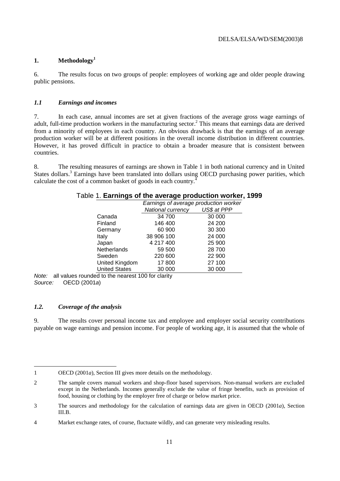### **1. Methodology1**

6. The results focus on two groups of people: employees of working age and older people drawing public pensions.

### *1.1 Earnings and incomes*

7. In each case, annual incomes are set at given fractions of the average gross wage earnings of adult, full-time production workers in the manufacturing sector.<sup>2</sup> This means that earnings data are derived from a minority of employees in each country. An obvious drawback is that the earnings of an average production worker will be at different positions in the overall income distribution in different countries. However, it has proved difficult in practice to obtain a broader measure that is consistent between countries.

8. The resulting measures of earnings are shown in Table 1 in both national currency and in United States dollars.<sup>3</sup> Earnings have been translated into dollars using OECD purchasing power parities, which calculate the cost of a common basket of goods in each country.<sup>4</sup>

|                      | $\sim$ . Larrings of the average production worker, |             |
|----------------------|-----------------------------------------------------|-------------|
|                      | Earnings of average production worker               |             |
|                      | National currency                                   | US\$ at PPP |
| Canada               | 34 700                                              | 30 000      |
| Finland              | 146 400                                             | 24 200      |
| Germany              | 60 900                                              | 30 300      |
| Italy                | 38 906 100                                          | 24 000      |
| Japan                | 4 217 400                                           | 25 900      |
| Netherlands          | 59 500                                              | 28 700      |
| Sweden               | 220 600                                             | 22 900      |
| United Kingdom       | 17800                                               | 27 100      |
| <b>United States</b> | 30 000                                              | 30 000      |

| Table 1. Earnings of the average production worker, 1999 |  |
|----------------------------------------------------------|--|
|----------------------------------------------------------|--|

Note: all values rounded to the nearest 100 for clarity Source: OECD (2001a)

### *1.2. Coverage of the analysis*

9. The results cover personal income tax and employee and employer social security contributions payable on wage earnings and pension income. For people of working age, it is assumed that the whole of

 $\overline{a}$ 1 OECD (2001*a*), Section III gives more details on the methodology.

<sup>2</sup> The sample covers manual workers and shop-floor based supervisors. Non-manual workers are excluded except in the Netherlands. Incomes generally exclude the value of fringe benefits, such as provision of food, housing or clothing by the employer free of charge or below market price.

<sup>3</sup> The sources and methodology for the calculation of earnings data are given in OECD (2001*a*), Section III.B.

<sup>4</sup> Market exchange rates, of course, fluctuate wildly, and can generate very misleading results.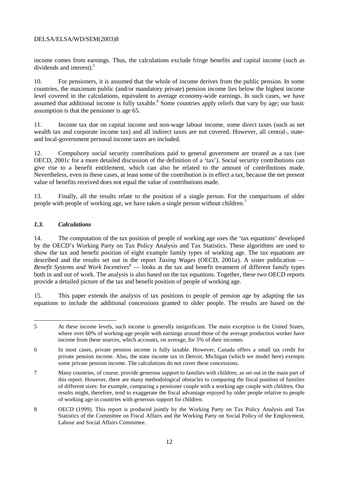income comes from earnings. Thus, the calculations exclude fringe benefits and capital income (such as dividends and interest).<sup>5</sup>

10. For pensioners, it is assumed that the whole of income derives from the public pension. In some countries, the maximum public (and/or mandatory private) pension income lies below the highest income level covered in the calculations, equivalent to average economy-wide earnings. In such cases, we have assumed that additional income is fully taxable.<sup>6</sup> Some countries apply reliefs that vary by age; our basic assumption is that the pensioner is age 65.

11. Income tax due on capital income and non-wage labour income, some direct taxes (such as net wealth tax and corporate income tax) and all indirect taxes are not covered. However, all central-, stateand local-government personal income taxes are included.

12. Compulsory social security contributions paid to general government are treated as a tax (see OECD, 2001*c* for a more detailed discussion of the definition of a 'tax'). Social security contributions can give rise to a benefit entitlement, which can also be related to the amount of contributions made. Nevertheless, even in these cases, at least some of the contribution is in effect a tax, because the net present value of benefits received does not equal the value of contributions made.

13. Finally, all the results relate to the position of a single person. For the comparisons of older people with people of working age, we have taken a single person without children.<sup>7</sup>

### *1.3. Calculations*

14. The computation of the tax position of people of working age uses the 'tax equations' developed by the OECD's Working Party on Tax Policy Analysis and Tax Statistics. These algorithms are used to show the tax and benefit position of eight example family types of working age. The tax equations are described and the results set out in the report *Taxing Wages* (OECD, 2001*a*). A sister publication — Benefit Systems and Work Incentives<sup>8</sup> — looks at the tax and benefit treatment of different family types both in and out of work. The analysis is also based on the tax equations. Together, these two OECD reports provide a detailed picture of the tax and benefit position of people of working age.

15. This paper extends the analysis of tax positions to people of pension age by adapting the tax equations to include the additional concessions granted to older people. The results are based on the

 $\overline{a}$ 5 At these income levels, such income is generally insignificant. The main exception is the United States, where over 60% of working-age people with earnings around those of the average production worker have income from these sources, which accounts, on average, for 5% of their incomes.

<sup>6</sup> In most cases, private pension income is fully taxable. However, Canada offers a small tax credit for private pension income. Also, the state income tax in Detroit, Michigan (which we model here) exempts some private pension income. The calculations do not cover these concessions.

<sup>7</sup> Many countries, of course, provide generous support to families with children, as set out in the main part of this report. However, there are many methodological obstacles to comparing the fiscal position of families of different sizes: for example, comparing a pensioner couple with a working age couple with children. Our results might, therefore, tend to exaggerate the fiscal advantage enjoyed by older people relative to people of working age in countries with generous support for children.

<sup>8</sup> OECD (1999). This report is produced jointly by the Working Party on Tax Policy Analysis and Tax Statistics of the Committee on Fiscal Affairs and the Working Party on Social Policy of the Employment, Labour and Social Affairs Committee.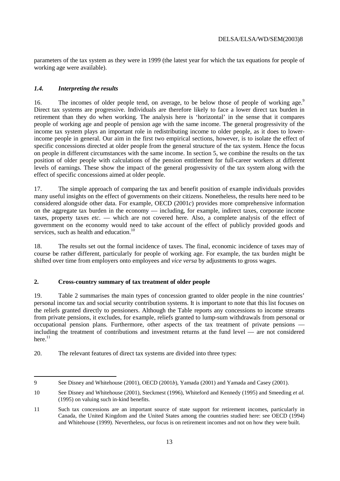parameters of the tax system as they were in 1999 (the latest year for which the tax equations for people of working age were available).

### *1.4. Interpreting the results*

 $\overline{a}$ 

16. The incomes of older people tend, on average, to be below those of people of working age.<sup>9</sup> Direct tax systems are progressive. Individuals are therefore likely to face a lower direct tax burden in retirement than they do when working. The analysis here is 'horizontal' in the sense that it compares people of working age and people of pension age with the same income. The general progressivity of the income tax system plays an important role in redistributing income to older people, as it does to lowerincome people in general. Our aim in the first two empirical sections, however, is to isolate the effect of specific concessions directed at older people from the general structure of the tax system. Hence the focus on people in different circumstances with the same income. In section 5, we combine the results on the tax position of older people with calculations of the pension entitlement for full-career workers at different levels of earnings. These show the impact of the general progressivity of the tax system along with the effect of specific concessions aimed at older people.

17. The simple approach of comparing the tax and benefit position of example individuals provides many useful insights on the effect of governments on their citizens. Nonetheless, the results here need to be considered alongside other data. For example, OECD (2001*c*) provides more comprehensive information on the aggregate tax burden in the economy — including, for example, indirect taxes, corporate income taxes, property taxes *etc.* — which are not covered here. Also, a complete analysis of the effect of government on the economy would need to take account of the effect of publicly provided goods and services, such as health and education.<sup>10</sup>

18. The results set out the formal incidence of taxes. The final, economic incidence of taxes may of course be rather different, particularly for people of working age. For example, the tax burden might be shifted over time from employers onto employees and *vice versa* by adjustments to gross wages.

### **2. Cross-country summary of tax treatment of older people**

19. Table 2 summarises the main types of concession granted to older people in the nine countries' personal income tax and social security contribution systems. It is important to note that this list focuses on the reliefs granted directly to pensioners. Although the Table reports any concessions to income streams from private pensions, it excludes, for example, reliefs granted to lump-sum withdrawals from personal or occupational pension plans. Furthermore, other aspects of the tax treatment of private pensions including the treatment of contributions and investment returns at the fund level — are not considered here. $11$ 

20. The relevant features of direct tax systems are divided into three types:

<sup>9</sup> See Disney and Whitehouse (2001), OECD (2001*b*), Yamada (2001) and Yamada and Casey (2001).

<sup>10</sup> See Disney and Whitehouse (2001), Steckmest (1996), Whiteford and Kennedy (1995) and Smeeding *et al.* (1995) on valuing such in-kind benefits.

<sup>11</sup> Such tax concessions are an important source of state support for retirement incomes, particularly in Canada, the United Kingdom and the United States among the countries studied here: see OECD (1994) and Whitehouse (1999). Nevertheless, our focus is on retirement incomes and not on how they were built.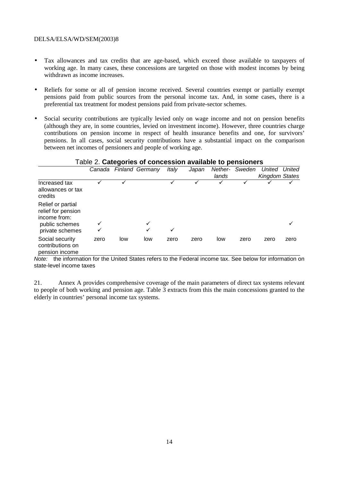- Tax allowances and tax credits that are age-based, which exceed those available to taxpayers of working age. In many cases, these concessions are targeted on those with modest incomes by being withdrawn as income increases.
- Reliefs for some or all of pension income received. Several countries exempt or partially exempt pensions paid from public sources from the personal income tax. And, in some cases, there is a preferential tax treatment for modest pensions paid from private-sector schemes.
- Social security contributions are typically levied only on wage income and not on pension benefits (although they are, in some countries, levied on investment income). However, three countries charge contributions on pension income in respect of health insurance benefits and one, for survivors' pensions. In all cases, social security contributions have a substantial impact on the comparison between net incomes of pensioners and people of working age.

| l able 2. Categories of concession available to pensioners |      |     |                        |       |       |                  |        |                                 |        |
|------------------------------------------------------------|------|-----|------------------------|-------|-------|------------------|--------|---------------------------------|--------|
|                                                            |      |     | Canada Finland Germany | Italy | Japan | Nether-<br>lands | Sweden | <b>United</b><br>Kingdom States | United |
| Increased tax<br>allowances or tax<br>credits              |      |     |                        | ✓     |       |                  |        |                                 |        |
| Relief or partial<br>relief for pension<br>income from:    |      |     | ✓                      |       |       |                  |        |                                 |        |
| public schemes<br>private schemes                          |      |     |                        | ✓     |       |                  |        |                                 |        |
| Social security<br>contributions on<br>pension income      | zero | low | low                    | zero  | zero  | low              | zero   | zero                            | zero   |

### Table 2. **Categories of concession available to pensioners**

Note: the information for the United States refers to the Federal income tax. See below for information on state-level income taxes

21. Annex A provides comprehensive coverage of the main parameters of direct tax systems relevant to people of both working and pension age. Table 3 extracts from this the main concessions granted to the elderly in countries' personal income tax systems.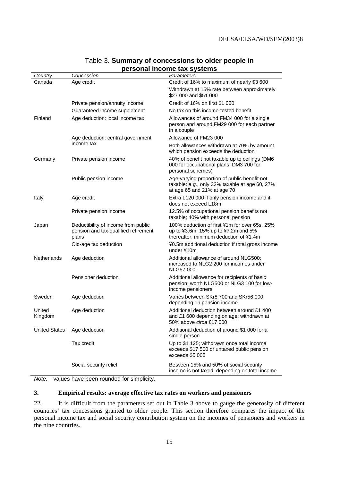| Country              | Concession                                                                           | -----<br>Parameters                                                                                                            |
|----------------------|--------------------------------------------------------------------------------------|--------------------------------------------------------------------------------------------------------------------------------|
| Canada               | Age credit                                                                           | Credit of 16% to maximum of nearly \$3 600                                                                                     |
|                      |                                                                                      | Withdrawn at 15% rate between approximately<br>\$27 000 and \$51 000                                                           |
|                      | Private pension/annuity income                                                       | Credit of 16% on first \$1 000                                                                                                 |
|                      | Guaranteed income supplement                                                         | No tax on this income-tested benefit                                                                                           |
| Finland              | Age deduction: local income tax                                                      | Allowances of around FM34 000 for a single<br>person and around FM29 000 for each partner<br>in a couple                       |
|                      | Age deduction: central government                                                    | Allowance of FM23 000                                                                                                          |
|                      | income tax                                                                           | Both allowances withdrawn at 70% by amount<br>which pension exceeds the deduction                                              |
| Germany              | Private pension income                                                               | 40% of benefit not taxable up to ceilings (DM6<br>000 for occupational plans, DM3 700 for<br>personal schemes)                 |
|                      | Public pension income                                                                | Age-varying proportion of public benefit not<br>taxable: e.g., only 32% taxable at age 60, 27%<br>at age 65 and 21% at age 70  |
| Italy                | Age credit                                                                           | Extra L120 000 if only pension income and it<br>does not exceed L18m                                                           |
|                      | Private pension income                                                               | 12.5% of occupational pension benefits not<br>taxable; 40% with personal pension                                               |
| Japan                | Deductibility of income from public<br>pension and tax-qualified retirement<br>plans | 100% deduction of first ¥1m for over 65s, 25%<br>up to ¥3.6m, 15% up to ¥7.2m and 5%<br>thereafter; minimum deduction of ¥1.4m |
|                      | Old-age tax deduction                                                                | ¥0.5m additional deduction if total gross income<br>under ¥10m                                                                 |
| <b>Netherlands</b>   | Age deduction                                                                        | Additional allowance of around NLG500;<br>increased to NLG2 200 for incomes under<br><b>NLG57 000</b>                          |
|                      | Pensioner deduction                                                                  | Additional allowance for recipients of basic<br>pension; worth NLG500 or NLG3 100 for low-<br>income pensioners                |
| Sweden               | Age deduction                                                                        | Varies between SKr8 700 and SKr56 000<br>depending on pension income                                                           |
| United<br>Kingdom    | Age deduction                                                                        | Additional deduction between around £1 400<br>and £1 600 depending on age; withdrawn at<br>50% above <i>circa</i> £17 000      |
| <b>United States</b> | Age deduction                                                                        | Additional deduction of around \$1 000 for a<br>single person                                                                  |
|                      | Tax credit                                                                           | Up to \$1 125; withdrawn once total income<br>exceeds \$17 500 or untaxed public pension<br>exceeds \$5 000                    |
|                      | Social security relief                                                               | Between 15% and 50% of social security<br>income is not taxed, depending on total income                                       |

### Table 3. **Summary of concessions to older people in personal income tax systems**

Note: values have been rounded for simplicity.

### **3. Empirical results: average effective tax rates on workers and pensioners**

22. It is difficult from the parameters set out in Table 3 above to gauge the generosity of different countries' tax concessions granted to older people. This section therefore compares the impact of the personal income tax and social security contribution system on the incomes of pensioners and workers in the nine countries.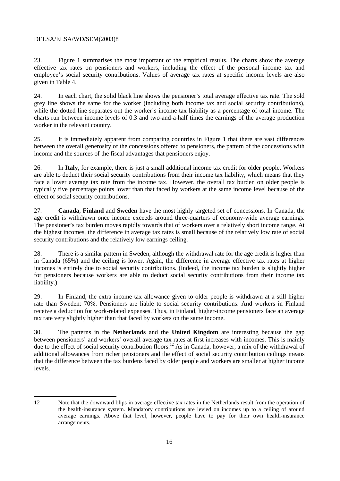$\overline{a}$ 

23. Figure 1 summarises the most important of the empirical results. The charts show the average effective tax rates on pensioners and workers, including the effect of the personal income tax and employee's social security contributions. Values of average tax rates at specific income levels are also given in Table 4.

24. In each chart, the solid black line shows the pensioner's total average effective tax rate. The sold grey line shows the same for the worker (including both income tax and social security contributions), while the dotted line separates out the worker's income tax liability as a percentage of total income. The charts run between income levels of 0.3 and two-and-a-half times the earnings of the average production worker in the relevant country.

25. It is immediately apparent from comparing countries in Figure 1 that there are vast differences between the overall generosity of the concessions offered to pensioners, the pattern of the concessions with income and the sources of the fiscal advantages that pensioners enjoy.

26. In **Italy**, for example, there is just a small additional income tax credit for older people. Workers are able to deduct their social security contributions from their income tax liability, which means that they face a lower average tax rate from the income tax. However, the overall tax burden on older people is typically five percentage points lower than that faced by workers at the same income level because of the effect of social security contributions.

27. **Canada**, **Finland** and **Sweden** have the most highly targeted set of concessions. In Canada, the age credit is withdrawn once income exceeds around three-quarters of economy-wide average earnings. The pensioner's tax burden moves rapidly towards that of workers over a relatively short income range. At the highest incomes, the difference in average tax rates is small because of the relatively low rate of social security contributions and the relatively low earnings ceiling.

28. There is a similar pattern in Sweden, although the withdrawal rate for the age credit is higher than in Canada (65%) and the ceiling is lower. Again, the difference in average effective tax rates at higher incomes is entirely due to social security contributions. (Indeed, the income tax burden is slightly higher for pensioners because workers are able to deduct social security contributions from their income tax liability.)

29. In Finland, the extra income tax allowance given to older people is withdrawn at a still higher rate than Sweden: 70%. Pensioners are liable to social security contributions. And workers in Finland receive a deduction for work-related expenses. Thus, in Finland, higher-income pensioners face an average tax rate very slightly higher than that faced by workers on the same income.

30. The patterns in the **Netherlands** and the **United Kingdom** are interesting because the gap between pensioners' and workers' overall average tax rates at first increases with incomes. This is mainly due to the effect of social security contribution floors.<sup>12</sup> As in Canada, however, a mix of the withdrawal of additional allowances from richer pensioners and the effect of social security contribution ceilings means that the difference between the tax burdens faced by older people and workers are smaller at higher income levels.

<sup>12</sup> Note that the downward blips in average effective tax rates in the Netherlands result from the operation of the health-insurance system. Mandatory contributions are levied on incomes up to a ceiling of around average earnings. Above that level, however, people have to pay for their own health-insurance arrangements.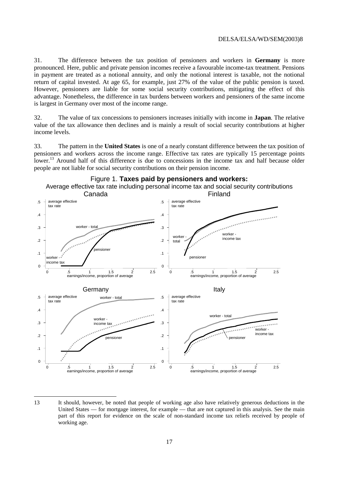31. The difference between the tax position of pensioners and workers in **Germany** is more pronounced. Here, public and private pension incomes receive a favourable income-tax treatment. Pensions in payment are treated as a notional annuity, and only the notional interest is taxable, not the notional return of capital invested. At age 65, for example, just 27% of the value of the public pension is taxed. However, pensioners are liable for some social security contributions, mitigating the effect of this advantage. Nonetheless, the difference in tax burdens between workers and pensioners of the same income is largest in Germany over most of the income range.

32. The value of tax concessions to pensioners increases initially with income in **Japan**. The relative value of the tax allowance then declines and is mainly a result of social security contributions at higher income levels.

33. The pattern in the **United States** is one of a nearly constant difference between the tax position of pensioners and workers across the income range. Effective tax rates are typically 15 percentage points lower.<sup>13</sup> Around half of this difference is due to concessions in the income tax and half because older people are not liable for social security contributions on their pension income.



### 13 It should, however, be noted that people of working age also have relatively generous deductions in the United States — for mortgage interest, for example — that are not captured in this analysis. See the main part of this report for evidence on the scale of non-standard income tax reliefs received by people of working age.

 $\overline{a}$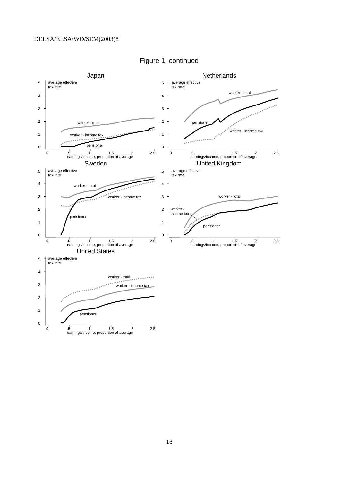

Figure 1, continued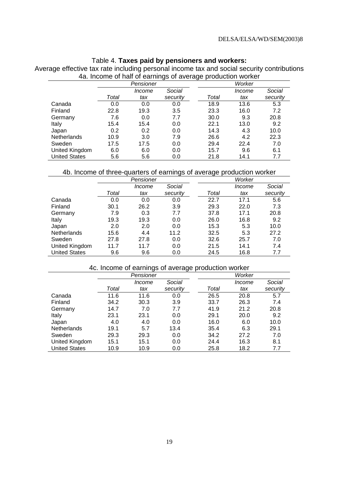### Table 4. **Taxes paid by pensioners and workers:**

Average effective tax rate including personal income tax and social security contributions 4a. Income of half of earnings of average production worker

|                      |       | Pensioner |          |      |       | Worker |          |
|----------------------|-------|-----------|----------|------|-------|--------|----------|
|                      |       | Income    | Social   |      |       | Income | Social   |
|                      | Total | tax       | security |      | Total | tax    | security |
| Canada               | 0.0   | 0.0       | 0.0      |      | 18.9  | 13.6   | 5.3      |
| Finland              | 22.8  | 19.3      | 3.5      |      | 23.3  | 16.0   | 7.2      |
| Germany              | 7.6   | 0.0       | 7.7      |      | 30.0  | 9.3    | 20.8     |
| Italy                | 15.4  | 15.4      | 0.0      | 22.1 |       | 13.0   | 9.2      |
| Japan                | 0.2   | 0.2       | 0.0      |      | 14.3  | 4.3    | 10.0     |
| Netherlands          | 10.9  | 3.0       | 7.9      |      | 26.6  | 4.2    | 22.3     |
| Sweden               | 17.5  | 17.5      | 0.0      |      | 29.4  | 22.4   | 7.0      |
| United Kingdom       | 6.0   | 6.0       | 0.0      |      | 15.7  | 9.6    | 6.1      |
| <b>United States</b> | 5.6   | 5.6       | 0.0      |      | 21.8  | 14.1   | 7.7      |

### 4b. Income of three-quarters of earnings of average production worker

|                      |       | Pensioner |          |       | Worker |          |
|----------------------|-------|-----------|----------|-------|--------|----------|
|                      |       | Income    | Social   |       | Income | Social   |
|                      | Total | tax       | security | Total | tax    | security |
| Canada               | 0.0   | 0.0       | 0.0      | 22.7  | 17.1   | 5.6      |
| Finland              | 30.1  | 26.2      | 3.9      | 29.3  | 22.0   | 7.3      |
| Germany              | 7.9   | 0.3       | 7.7      | 37.8  | 17.1   | 20.8     |
| Italy                | 19.3  | 19.3      | 0.0      | 26.0  | 16.8   | 9.2      |
| Japan                | 2.0   | 2.0       | 0.0      | 15.3  | 5.3    | 10.0     |
| <b>Netherlands</b>   | 15.6  | 4.4       | 11.2     | 32.5  | 5.3    | 27.2     |
| Sweden               | 27.8  | 27.8      | 0.0      | 32.6  | 25.7   | 7.0      |
| United Kingdom       | 11.7  | 11.7      | 0.0      | 21.5  | 14.1   | 7.4      |
| <b>United States</b> | 9.6   | 9.6       | 0.0      | 24.5  | 16.8   | 7.7      |

### 4c. Income of earnings of average production worker

|                      |       | Pensioner     |          | Worker |        |          |  |
|----------------------|-------|---------------|----------|--------|--------|----------|--|
|                      |       | <i>Income</i> | Social   |        | Income | Social   |  |
|                      | Total | tax           | security | Total  | tax    | security |  |
| Canada               | 11.6  | 11.6          | 0.0      | 26.5   | 20.8   | 5.7      |  |
| Finland              | 34.2  | 30.3          | 3.9      | 33.7   | 26.3   | 7.4      |  |
| Germany              | 14.7  | 7.0           | 7.7      | 41.9   | 21.2   | 20.8     |  |
| Italy                | 23.1  | 23.1          | 0.0      | 29.1   | 20.0   | 9.2      |  |
| Japan                | 4.0   | 4.0           | 0.0      | 16.0   | 6.0    | 10.0     |  |
| <b>Netherlands</b>   | 19.1  | 5.7           | 13.4     | 35.4   | 6.3    | 29.1     |  |
| Sweden               | 29.3  | 29.3          | 0.0      | 34.2   | 27.2   | 7.0      |  |
| United Kingdom       | 15.1  | 15.1          | 0.0      | 24.4   | 16.3   | 8.1      |  |
| <b>United States</b> | 10.9  | 10.9          | 0.0      | 25.8   | 18.2   | 7.7      |  |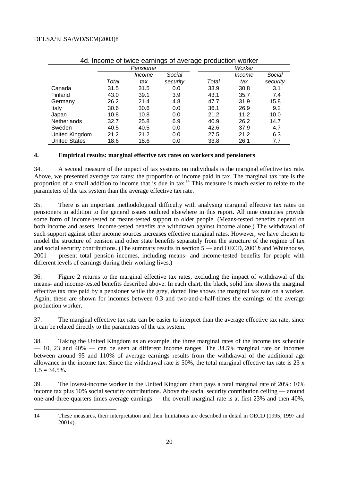|                      | ia. moomo or twico carilligo or avoiago production workor |           |          |       |        |          |  |  |
|----------------------|-----------------------------------------------------------|-----------|----------|-------|--------|----------|--|--|
|                      |                                                           | Pensioner |          |       | Worker |          |  |  |
|                      |                                                           | Income    | Social   |       | Income | Social   |  |  |
|                      | Total                                                     | tax       | security | Total | tax    | security |  |  |
| Canada               | 31.5                                                      | 31.5      | 0.0      | 33.9  | 30.8   | 3.1      |  |  |
| Finland              | 43.0                                                      | 39.1      | 3.9      | 43.1  | 35.7   | 7.4      |  |  |
| Germany              | 26.2                                                      | 21.4      | 4.8      | 47.7  | 31.9   | 15.8     |  |  |
| Italy                | 30.6                                                      | 30.6      | 0.0      | 36.1  | 26.9   | 9.2      |  |  |
| Japan                | 10.8                                                      | 10.8      | 0.0      | 21.2  | 11.2   | 10.0     |  |  |
| Netherlands          | 32.7                                                      | 25.8      | 6.9      | 40.9  | 26.2   | 14.7     |  |  |
| Sweden               | 40.5                                                      | 40.5      | 0.0      | 42.6  | 37.9   | 4.7      |  |  |
| United Kingdom       | 21.2                                                      | 21.2      | 0.0      | 27.5  | 21.2   | 6.3      |  |  |
| <b>United States</b> | 18.6                                                      | 18.6      | 0.0      | 33.8  | 26.1   | 7.7      |  |  |

### 4d. Income of twice earnings of average production worker

### **4. Empirical results: marginal effective tax rates on workers and pensioners**

34. A second measure of the impact of tax systems on individuals is the marginal effective tax rate. Above, we presented average tax rates: the proportion of income paid in tax. The marginal tax rate is the proportion of a small addition to income that is due in tax.<sup>14</sup> This measure is much easier to relate to the parameters of the tax system than the average effective tax rate.

35. There is an important methodological difficulty with analysing marginal effective tax rates on pensioners in addition to the general issues outlined elsewhere in this report. All nine countries provide some form of income-tested or means-tested support to older people. (Means-tested benefits depend on both income and assets, income-tested benefits are withdrawn against income alone.) The withdrawal of such support against other income sources increases effective marginal rates. However, we have chosen to model the structure of pension and other state benefits separately from the structure of the regime of tax and social security contributions. (The summary results in section 5 — and OECD, 2001*b* and Whitehouse, 2001 — present total pension incomes, including means- and income-tested benefits for people with different levels of earnings during their working lives.)

36. Figure 2 returns to the marginal effective tax rates, excluding the impact of withdrawal of the means- and income-tested benefits described above. In each chart, the black, solid line shows the marginal effective tax rate paid by a pensioner while the grey, dotted line shows the marginal tax rate on a worker. Again, these are shown for incomes between 0.3 and two-and-a-half-times the earnings of the average production worker.

37. The marginal effective tax rate can be easier to interpret than the average effective tax rate, since it can be related directly to the parameters of the tax system.

38. Taking the United Kingdom as an example, the three marginal rates of the income tax schedule  $-$  10, 23 and 40%  $-$  can be seen at different income ranges. The 34.5% marginal rate on incomes between around 95 and 110% of average earnings results from the withdrawal of the additional age allowance in the income tax. Since the withdrawal rate is  $50\%$ , the total marginal effective tax rate is  $23 \times$  $1.5 = 34.5\%$ .

39. The lowest-income worker in the United Kingdom chart pays a total marginal rate of 20%: 10% income tax plus 10% social security contributions. Above the social security contribution ceiling — around one-and-three-quarters times average earnings — the overall marginal rate is at first 23% and then 40%,

 14 These measures, their interpretation and their limitations are described in detail in OECD (1995, 1997 and 2001*a*).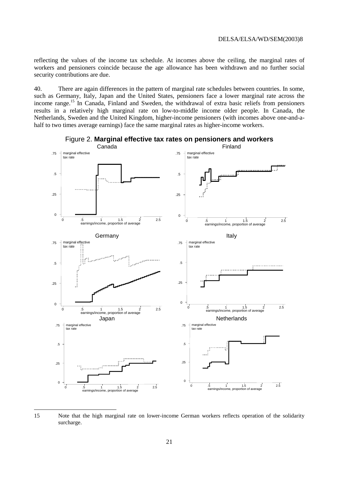reflecting the values of the income tax schedule. At incomes above the ceiling, the marginal rates of workers and pensioners coincide because the age allowance has been withdrawn and no further social security contributions are due.

40. There are again differences in the pattern of marginal rate schedules between countries. In some, such as Germany, Italy, Japan and the United States, pensioners face a lower marginal rate across the income range.<sup>15</sup> In Canada, Finland and Sweden, the withdrawal of extra basic reliefs from pensioners results in a relatively high marginal rate on low-to-middle income older people. In Canada, the Netherlands, Sweden and the United Kingdom, higher-income pensioners (with incomes above one-and-ahalf to two times average earnings) face the same marginal rates as higher-income workers.



Figure 2. **Marginal effective tax rates on pensioners and workers** 

15 Note that the high marginal rate on lower-income German workers reflects operation of the solidarity surcharge.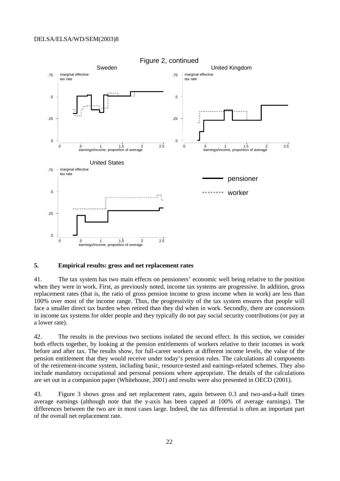

### **5. Empirical results: gross and net replacement rates**

41. The tax system has two main effects on pensioners' economic well being relative to the position when they were in work. First, as previously noted, income tax systems are progressive. In addition, gross replacement rates (that is, the ratio of gross pension income to gross income when in work) are less than 100% over most of the income range. Thus, the progressivity of the tax system ensures that people will face a smaller direct tax burden when retired than they did when in work. Secondly, there are concessions in income tax systems for older people and they typically do not pay social security contributions (or pay at a lower rate).

42. The results in the previous two sections isolated the second effect. In this section, we consider both effects together, by looking at the pension entitlements of workers relative to their incomes in work before and after tax. The results show, for full-career workers at different income levels, the value of the pension entitlement that they would receive under today's pension rules. The calculations all components of the retirement-income system, including basic, resource-tested and earnings-related schemes. They also include mandatory occupational and personal pensions where appropriate. The details of the calculations are set out in a companion paper (Whitehouse, 2001) and results were also presented in OECD (2001).

43. Figure 3 shows gross and net replacement rates, again between 0.3 and two-and-a-half times average earnings (although note that the y-axis has been capped at 100% of average earnings). The differences between the two are in most cases large. Indeed, the tax differential is often an important part of the overall net replacement rate.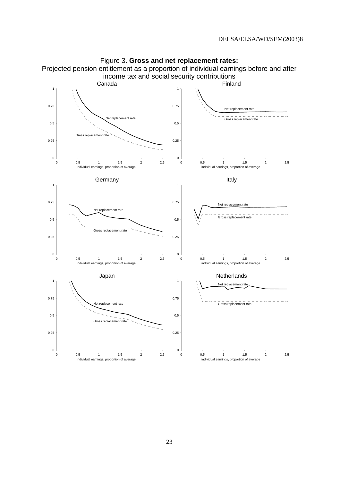

Figure 3. **Gross and net replacement rates:**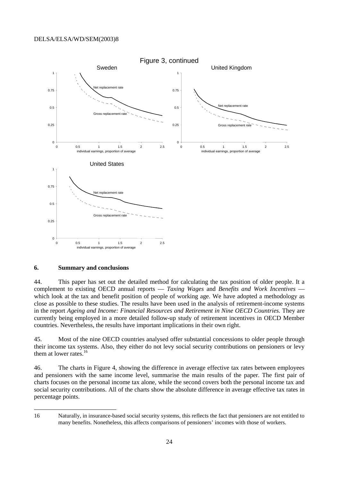

### **6. Summary and conclusions**

44. This paper has set out the detailed method for calculating the tax position of older people. It a complement to existing OECD annual reports — *Taxing Wages* and *Benefits and Work Incentives* which look at the tax and benefit position of people of working age. We have adopted a methodology as close as possible to these studies. The results have been used in the analysis of retirement-income systems in the report *Ageing and Income: Financial Resources and Retirement in Nine OECD Countries.* They are currently being employed in a more detailed follow-up study of retirement incentives in OECD Member countries. Nevertheless, the results have important implications in their own right.

45. Most of the nine OECD countries analysed offer substantial concessions to older people through their income tax systems. Also, they either do not levy social security contributions on pensioners or levy them at lower rates.<sup>16</sup>

46. The charts in Figure 4, showing the difference in average effective tax rates between employees and pensioners with the same income level, summarise the main results of the paper. The first pair of charts focuses on the personal income tax alone, while the second covers both the personal income tax and social security contributions. All of the charts show the absolute difference in average effective tax rates in percentage points.

<sup>16</sup> Naturally, in insurance-based social security systems, this reflects the fact that pensioners are not entitled to many benefits. Nonetheless, this affects comparisons of pensioners' incomes with those of workers.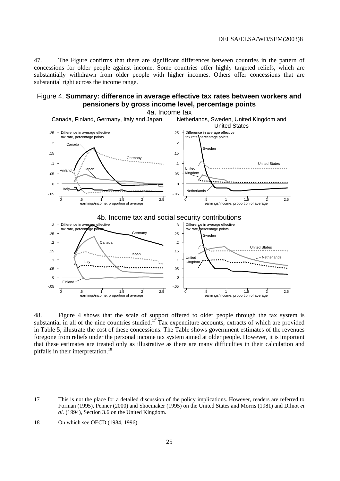47. The Figure confirms that there are significant differences between countries in the pattern of concessions for older people against income. Some countries offer highly targeted reliefs, which are substantially withdrawn from older people with higher incomes. Others offer concessions that are substantial right across the income range.

### Figure 4. **Summary: difference in average effective tax rates between workers and pensioners by gross income level, percentage points**



48. Figure 4 shows that the scale of support offered to older people through the tax system is substantial in all of the nine countries studied.<sup>17</sup> Tax expenditure accounts, extracts of which are provided in Table 5, illustrate the cost of these concessions. The Table shows government estimates of the revenues foregone from reliefs under the personal income tax system aimed at older people. However, it is important that these estimates are treated only as illustrative as there are many difficulties in their calculation and pitfalls in their interpretation.<sup>18</sup>

 $\overline{a}$ 

<sup>17</sup> This is not the place for a detailed discussion of the policy implications. However, readers are referred to Forman (1995), Penner (2000) and Shoemaker (1995) on the United States and Morris (1981) and Dilnot *et al.* (1994), Section 3.6 on the United Kingdom.

<sup>18</sup> On which see OECD (1984, 1996).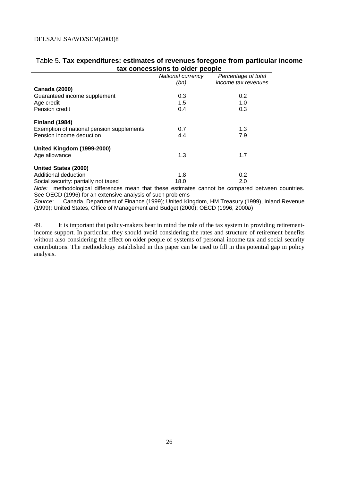| ian concessions to older people           |                   |                     |
|-------------------------------------------|-------------------|---------------------|
|                                           | National currency | Percentage of total |
|                                           | (bn)              | income tax revenues |
| <b>Canada (2000)</b>                      |                   |                     |
| Guaranteed income supplement              | 0.3               | 0.2                 |
| Age credit                                | 1.5               | 1.0                 |
| Pension credit                            | 0.4               | 0.3                 |
| <b>Finland (1984)</b>                     |                   |                     |
| Exemption of national pension supplements | 0.7               | 1.3                 |
| Pension income deduction                  | 4.4               | 7.9                 |
| United Kingdom (1999-2000)                |                   |                     |
| Age allowance                             | 1.3               | 1.7                 |
| <b>United States (2000)</b>               |                   |                     |
| Additional deduction                      | 1.8               | 0.2                 |
| Social security: partially not taxed      | 18.0              | 2.0                 |

### Table 5. **Tax expenditures: estimates of revenues foregone from particular income tax concessions to older people**

Note: methodological differences mean that these estimates cannot be compared between countries. See OECD (1996) for an extensive analysis of such problems

Source: Canada, Department of Finance (1999); United Kingdom, HM Treasury (1999), Inland Revenue (1999); United States, Office of Management and Budget (2000); OECD (1996, 2000b)

49. It is important that policy-makers bear in mind the role of the tax system in providing retirementincome support. In particular, they should avoid considering the rates and structure of retirement benefits without also considering the effect on older people of systems of personal income tax and social security contributions. The methodology established in this paper can be used to fill in this potential gap in policy analysis.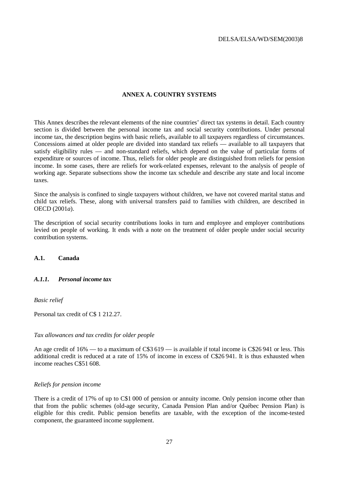### **ANNEX A. COUNTRY SYSTEMS**

This Annex describes the relevant elements of the nine countries' direct tax systems in detail. Each country section is divided between the personal income tax and social security contributions. Under personal income tax, the description begins with basic reliefs, available to all taxpayers regardless of circumstances. Concessions aimed at older people are divided into standard tax reliefs — available to all taxpayers that satisfy eligibility rules — and non-standard reliefs, which depend on the value of particular forms of expenditure or sources of income. Thus, reliefs for older people are distinguished from reliefs for pension income. In some cases, there are reliefs for work-related expenses, relevant to the analysis of people of working age. Separate subsections show the income tax schedule and describe any state and local income taxes.

Since the analysis is confined to single taxpayers without children, we have not covered marital status and child tax reliefs. These, along with universal transfers paid to families with children, are described in OECD (2001*a*).

The description of social security contributions looks in turn and employee and employer contributions levied on people of working. It ends with a note on the treatment of older people under social security contribution systems.

### **A.1. Canada**

### *A.1.1. Personal income tax*

*Basic relief* 

Personal tax credit of C\$ 1 212.27.

#### *Tax allowances and tax credits for older people*

An age credit of  $16\%$  — to a maximum of C\$3 619 — is available if total income is C\$26 941 or less. This additional credit is reduced at a rate of 15% of income in excess of C\$26 941. It is thus exhausted when income reaches C\$51 608.

### *Reliefs for pension income*

There is a credit of 17% of up to C\$1 000 of pension or annuity income. Only pension income other than that from the public schemes (old-age security, Canada Pension Plan and/or Québec Pension Plan) is eligible for this credit. Public pension benefits are taxable, with the exception of the income-tested component, the guaranteed income supplement.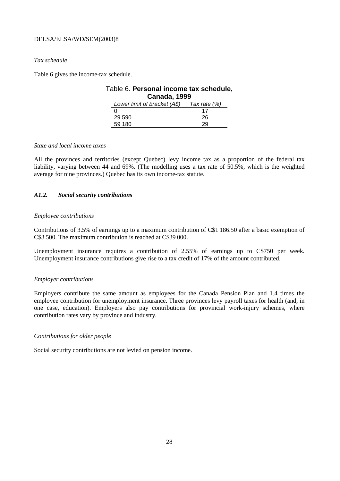### *Tax schedule*

Table 6 gives the income-tax schedule.

| Table 6. Personal income tax schedule, |                              |              |  |
|----------------------------------------|------------------------------|--------------|--|
| <b>Canada, 1999</b>                    |                              |              |  |
|                                        | Lower limit of bracket (A\$) | Tax rate (%) |  |
|                                        |                              | 17           |  |
|                                        | 29 590                       | 26           |  |
|                                        | 59 180                       | 29.          |  |

### *State and local income taxes*

All the provinces and territories (except Quebec) levy income tax as a proportion of the federal tax liability, varying between 44 and 69%. (The modelling uses a tax rate of 50.5%, which is the weighted average for nine provinces.) Quebec has its own income-tax statute.

### *A1.2. Social security contributions*

### *Employee contributions*

Contributions of 3.5% of earnings up to a maximum contribution of C\$1 186.50 after a basic exemption of C\$3 500. The maximum contribution is reached at C\$39 000.

Unemployment insurance requires a contribution of 2.55% of earnings up to C\$750 per week. Unemployment insurance contributions give rise to a tax credit of 17% of the amount contributed.

### *Employer contributions*

Employers contribute the same amount as employees for the Canada Pension Plan and 1.4 times the employee contribution for unemployment insurance. Three provinces levy payroll taxes for health (and, in one case, education). Employers also pay contributions for provincial work-injury schemes, where contribution rates vary by province and industry.

### *Contributions for older people*

Social security contributions are not levied on pension income.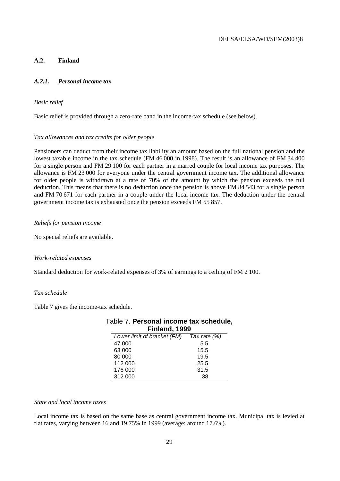### **A.2. Finland**

### *A.2.1. Personal income tax*

### *Basic relief*

Basic relief is provided through a zero-rate band in the income-tax schedule (see below).

### *Tax allowances and tax credits for older people*

Pensioners can deduct from their income tax liability an amount based on the full national pension and the lowest taxable income in the tax schedule (FM 46 000 in 1998). The result is an allowance of FM 34 400 for a single person and FM 29 100 for each partner in a marred couple for local income tax purposes. The allowance is FM 23 000 for everyone under the central government income tax. The additional allowance for older people is withdrawn at a rate of 70% of the amount by which the pension exceeds the full deduction. This means that there is no deduction once the pension is above FM 84 543 for a single person and FM 70 671 for each partner in a couple under the local income tax. The deduction under the central government income tax is exhausted once the pension exceeds FM 55 857.

### *Reliefs for pension income*

No special reliefs are available.

### *Work-related expenses*

Standard deduction for work-related expenses of 3% of earnings to a ceiling of FM 2 100.

### *Tax schedule*

Table 7 gives the income-tax schedule.

| Table 7. Personal income tax schedule, |                                          |      |
|----------------------------------------|------------------------------------------|------|
| Finland, 1999                          |                                          |      |
|                                        | Lower limit of bracket (FM) Tax rate (%) |      |
|                                        | 47 000                                   | 5.5  |
|                                        | 63 000                                   | 15.5 |
|                                        | 80 000                                   | 19.5 |
|                                        | 112 000                                  | 25.5 |
|                                        | 176 000                                  | 31.5 |
|                                        | 312 000                                  | 38   |

### *State and local income taxes*

Local income tax is based on the same base as central government income tax. Municipal tax is levied at flat rates, varying between 16 and 19.75% in 1999 (average: around 17.6%).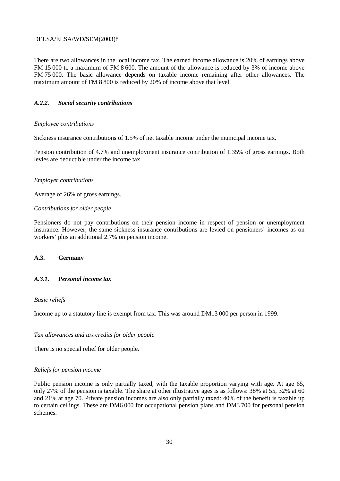There are two allowances in the local income tax. The earned income allowance is 20% of earnings above FM 15 000 to a maximum of FM 8 600. The amount of the allowance is reduced by 3% of income above FM 75 000. The basic allowance depends on taxable income remaining after other allowances. The maximum amount of FM 8 800 is reduced by 20% of income above that level.

### *A.2.2. Social security contributions*

### *Employee contributions*

Sickness insurance contributions of 1.5% of net taxable income under the municipal income tax.

Pension contribution of 4.7% and unemployment insurance contribution of 1.35% of gross earnings. Both levies are deductible under the income tax.

### *Employer contributions*

Average of 26% of gross earnings.

### *Contributions for older people*

Pensioners do not pay contributions on their pension income in respect of pension or unemployment insurance. However, the same sickness insurance contributions are levied on pensioners' incomes as on workers' plus an additional 2.7% on pension income.

### **A.3. Germany**

### *A.3.1. Personal income tax*

### *Basic reliefs*

Income up to a statutory line is exempt from tax. This was around DM13 000 per person in 1999.

### *Tax allowances and tax credits for older people*

There is no special relief for older people.

### *Reliefs for pension income*

Public pension income is only partially taxed, with the taxable proportion varying with age. At age 65, only 27% of the pension is taxable. The share at other illustrative ages is as follows: 38% at 55, 32% at 60 and 21% at age 70. Private pension incomes are also only partially taxed: 40% of the benefit is taxable up to certain ceilings. These are DM6 000 for occupational pension plans and DM3 700 for personal pension schemes.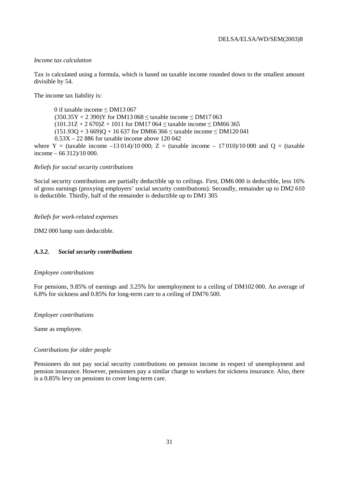### *Income tax calculation*

Tax is calculated using a formula, which is based on taxable income rounded down to the smallest amount divisible by 54.

The income tax liability is:

0 if taxable income  $\leq$  DM13 067  $(350.35Y + 2390)Y$  for DM13 068  $\le$  taxable income  $\le$  DM17 063  $(101.31Z + 2.670)Z + 1011$  for DM17 064  $\leq$  taxable income  $\leq$  DM66 365  $(151.93Q + 3.669)Q + 16.637$  for DM66 366  $\le$  taxable income  $\le$  DM120 041 0.53X – 22 886 for taxable income above 120 042 where Y = (taxable income –13 014)/10 000; Z = (taxable income – 17 010)/10 000 and Q = (taxable income – 66 312)/10 000.

### *Reliefs for social security contributions*

Social security contributions are partially deductible up to ceilings. First, DM6 000 is deductible, less 16% of gross earnings (proxying employers' social security contributions). Secondly, remainder up to DM2 610 is deductible. Thirdly, half of the remainder is deductible up to DM1 305

### *Reliefs for work-related expenses*

DM2 000 lump sum deductible.

### *A.3.2. Social security contributions*

### *Employee contributions*

For pensions, 9.85% of earnings and 3.25% for unemployment to a ceiling of DM102 000. An average of 6.8% for sickness and 0.85% for long-term care to a ceiling of DM76 500.

### *Employer contributions*

Same as employee.

### *Contributions for older people*

Pensioners do not pay social security contributions on pension income in respect of unemployment and pension insurance. However, pensioners pay a similar charge to workers for sickness insurance. Also, there is a 0.85% levy on pensions to cover long-term care.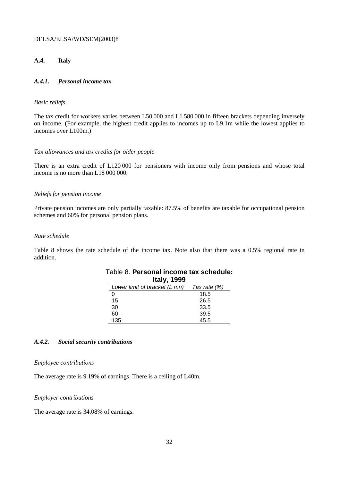### **A.4. Italy**

### *A.4.1. Personal income tax*

### *Basic reliefs*

The tax credit for workers varies between L50 000 and L1 580 000 in fifteen brackets depending inversely on income. (For example, the highest credit applies to incomes up to L9.1m while the lowest applies to incomes over L100m.)

### *Tax allowances and tax credits for older people*

There is an extra credit of L120 000 for pensioners with income only from pensions and whose total income is no more than L18 000 000.

### *Reliefs for pension income*

Private pension incomes are only partially taxable: 87.5% of benefits are taxable for occupational pension schemes and 60% for personal pension plans.

### *Rate schedule*

Table 8 shows the rate schedule of the income tax. Note also that there was a 0.5% regional rate in addition.

| <b>Italy, 1999</b>            |              |  |
|-------------------------------|--------------|--|
| Lower limit of bracket (L mn) | Tax rate (%) |  |
|                               | 18.5         |  |
| 15                            | 26.5         |  |
| 30                            | 33.5         |  |
| 60                            | 39.5         |  |
| 135                           | 45.5         |  |

### Table 8. **Personal income tax schedule: Italy, 1999**

### *A.4.2. Social security contributions*

#### *Employee contributions*

The average rate is 9.19% of earnings. There is a ceiling of L40m.

### *Employer contributions*

The average rate is 34.08% of earnings.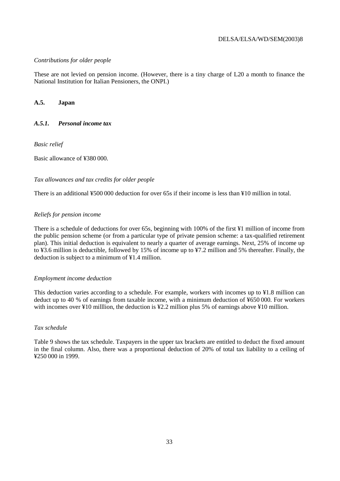### *Contributions for older people*

These are not levied on pension income. (However, there is a tiny charge of L20 a month to finance the National Institution for Italian Pensioners, the ONPI.)

### **A.5. Japan**

### *A.5.1. Personal income tax*

*Basic relief* 

Basic allowance of ¥380 000.

### *Tax allowances and tax credits for older people*

There is an additional ¥500 000 deduction for over 65s if their income is less than ¥10 million in total.

### *Reliefs for pension income*

There is a schedule of deductions for over 65s, beginning with 100% of the first ¥1 million of income from the public pension scheme (or from a particular type of private pension scheme: a tax-qualified retirement plan). This initial deduction is equivalent to nearly a quarter of average earnings. Next, 25% of income up to ¥3.6 million is deductible, followed by 15% of income up to ¥7.2 million and 5% thereafter. Finally, the deduction is subject to a minimum of ¥1.4 million.

### *Employment income deduction*

This deduction varies according to a schedule. For example, workers with incomes up to ¥1.8 million can deduct up to 40 % of earnings from taxable income, with a minimum deduction of ¥650 000. For workers with incomes over ¥10 million, the deduction is ¥2.2 million plus 5% of earnings above ¥10 million.

### *Tax schedule*

Table 9 shows the tax schedule. Taxpayers in the upper tax brackets are entitled to deduct the fixed amount in the final column. Also, there was a proportional deduction of 20% of total tax liability to a ceiling of ¥250 000 in 1999.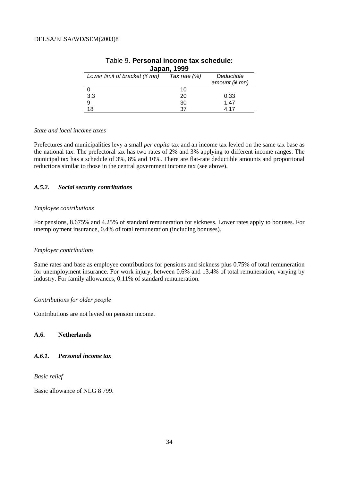| Japan, 1999                   |              |                 |  |
|-------------------------------|--------------|-----------------|--|
| Lower limit of bracket (¥ mn) | Tax rate (%) | Deductible      |  |
|                               |              | amount $(*$ mn) |  |
|                               | 10           |                 |  |
| 3.3                           | 20           | 0.33            |  |
| 9                             | 30           | 1.47            |  |
| 18                            | 37           | 4 17            |  |

### Table 9. **Personal income tax schedule: Japan, 1999**

### *State and local income taxes*

Prefectures and municipalities levy a small *per capita* tax and an income tax levied on the same tax base as the national tax. The prefectoral tax has two rates of 2% and 3% applying to different income ranges. The municipal tax has a schedule of 3%, 8% and 10%. There are flat-rate deductible amounts and proportional reductions similar to those in the central government income tax (see above).

### *A.5.2. Social security contributions*

### *Employee contributions*

For pensions, 8.675% and 4.25% of standard remuneration for sickness. Lower rates apply to bonuses. For unemployment insurance, 0.4% of total remuneration (including bonuses).

### *Employer contributions*

Same rates and base as employee contributions for pensions and sickness plus 0.75% of total remuneration for unemployment insurance. For work injury, between 0.6% and 13.4% of total remuneration, varying by industry. For family allowances, 0.11% of standard remuneration.

### *Contributions for older people*

Contributions are not levied on pension income.

### **A.6. Netherlands**

### *A.6.1. Personal income tax*

*Basic relief* 

Basic allowance of NLG 8 799.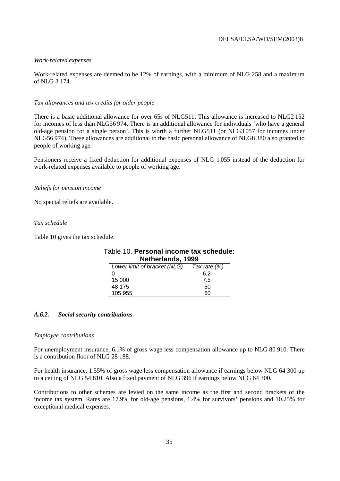### *Work-related expenses*

Work-related expenses are deemed to be 12% of earnings, with a minimum of NLG 258 and a maximum of NLG 3 174.

#### *Tax allowances and tax credits for older people*

There is a basic additional allowance for over 65s of NLG511. This allowance is increased to NLG2 152 for incomes of less than NLG56 974. There is an additional allowance for individuals 'who have a general old-age pension for a single person'. This is worth a further NLG511 (or NLG3 057 for incomes under NLG56 974). These allowances are additional to the basic personal allowance of NLG8 380 also granted to people of working age.

Pensioners receive a fixed deduction for additional expenses of NLG 1 055 instead of the deduction for work-related expenses available to people of working age.

### *Reliefs for pension income*

No special reliefs are available.

### *Tax schedule*

Table 10 gives the tax schedule.

| Netherlands, 1999            |              |  |
|------------------------------|--------------|--|
| Lower limit of bracket (NLG) | Tax rate (%) |  |
|                              | 6 2          |  |
| 15 000                       | 7.5          |  |
| 48 175                       | 50           |  |
| 105 955                      |              |  |

Table 10. **Personal income tax schedule:** 

### *A.6.2. Social security contributions*

#### *Employee contributions*

For unemployment insurance, 6.1% of gross wage less compensation allowance up to NLG 80 910. There is a contribution floor of NLG 28 188.

For health insurance, 1.55% of gross wage less compensation allowance if earnings below NLG 64 300 up to a ceiling of NLG 54 810. Also a fixed payment of NLG 396 if earnings below NLG 64 300.

Contributions to other schemes are levied on the same income as the first and second brackets of the income tax system. Rates are 17.9% for old-age pensions, 1.4% for survivors' pensions and 10.25% for exceptional medical expenses.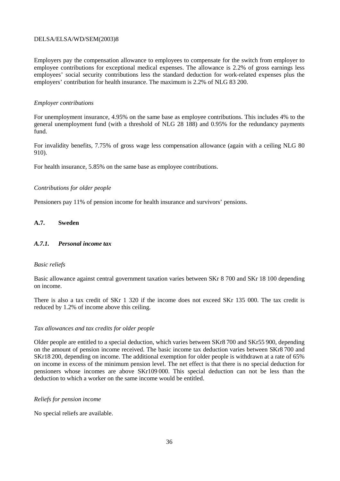Employers pay the compensation allowance to employees to compensate for the switch from employer to employee contributions for exceptional medical expenses. The allowance is 2.2% of gross earnings less employees' social security contributions less the standard deduction for work-related expenses plus the employers' contribution for health insurance. The maximum is 2.2% of NLG 83 200.

### *Employer contributions*

For unemployment insurance, 4.95% on the same base as employee contributions. This includes 4% to the general unemployment fund (with a threshold of NLG 28 188) and 0.95% for the redundancy payments fund.

For invalidity benefits, 7.75% of gross wage less compensation allowance (again with a ceiling NLG 80 910).

For health insurance, 5.85% on the same base as employee contributions.

### *Contributions for older people*

Pensioners pay 11% of pension income for health insurance and survivors' pensions.

### **A.7. Sweden**

### *A.7.1. Personal income tax*

### *Basic reliefs*

Basic allowance against central government taxation varies between SKr 8 700 and SKr 18 100 depending on income.

There is also a tax credit of SKr 1 320 if the income does not exceed SKr 135 000. The tax credit is reduced by 1.2% of income above this ceiling.

### *Tax allowances and tax credits for older people*

Older people are entitled to a special deduction, which varies between SKr8 700 and SKr55 900, depending on the amount of pension income received. The basic income tax deduction varies between SKr8 700 and SKr18 200, depending on income. The additional exemption for older people is withdrawn at a rate of 65% on income in excess of the minimum pension level. The net effect is that there is no special deduction for pensioners whose incomes are above SKr109 000. This special deduction can not be less than the deduction to which a worker on the same income would be entitled.

### *Reliefs for pension income*

No special reliefs are available.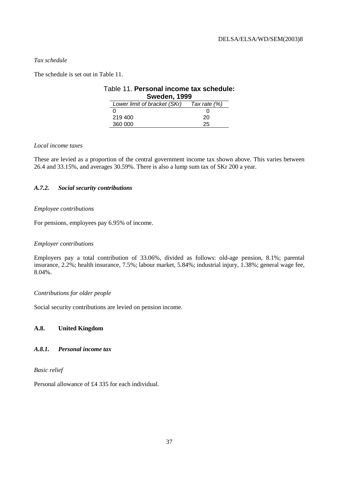### *Tax schedule*

The schedule is set out in Table 11.

### Table 11. **Personal income tax schedule: Sweden, 1999**   $\overline{L}$  Lower limit of bracket (SKr)  $\overline{L}$  Tax rate (%)

| = <del></del> | .<br>, , , |
|---------------|------------|
|               |            |
| 219 400       | 20         |
| 360 000       | 25         |

### *Local income taxes*

These are levied as a proportion of the central government income tax shown above. This varies between 26.4 and 33.15%, and averages 30.59%. There is also a lump sum tax of SKr 200 a year.

### *A.7.2. Social security contributions*

### *Employee contributions*

For pensions, employees pay 6.95% of income.

### *Employer contributions*

Employers pay a total contribution of 33.06%, divided as follows: old-age pension, 8.1%; parental insurance, 2.2%; health insurance, 7.5%; labour market, 5.84%; industrial injury, 1.38%; general wage fee, 8.04%.

### *Contributions for older people*

Social security contributions are levied on pension income.

### **A.8. United Kingdom**

### *A.8.1. Personal income tax*

*Basic relief* 

Personal allowance of £4 335 for each individual.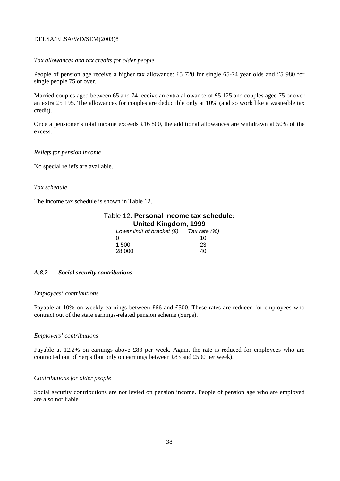### *Tax allowances and tax credits for older people*

People of pension age receive a higher tax allowance: £5 720 for single 65-74 year olds and £5 980 for single people 75 or over.

Married couples aged between 65 and 74 receive an extra allowance of £5 125 and couples aged 75 or over an extra £5 195. The allowances for couples are deductible only at 10% (and so work like a wasteable tax credit).

Once a pensioner's total income exceeds £16 800, the additional allowances are withdrawn at 50% of the excess.

### *Reliefs for pension income*

No special reliefs are available.

### *Tax schedule*

The income tax schedule is shown in Table 12.

| Table 12. Personal income tax schedule: |                              |                |  |
|-----------------------------------------|------------------------------|----------------|--|
| United Kingdom, 1999                    |                              |                |  |
|                                         | Lower limit of bracket $(E)$ | Tax rate $(%)$ |  |
|                                         |                              | 10             |  |
|                                         | 1 500                        | 23             |  |
|                                         | 28,000                       | 4Λ             |  |

### *A.8.2. Social security contributions*

### *Employees' contributions*

Payable at 10% on weekly earnings between £66 and £500. These rates are reduced for employees who contract out of the state earnings-related pension scheme (Serps).

### *Employers' contributions*

Payable at 12.2% on earnings above £83 per week. Again, the rate is reduced for employees who are contracted out of Serps (but only on earnings between £83 and £500 per week).

### *Contributions for older people*

Social security contributions are not levied on pension income. People of pension age who are employed are also not liable.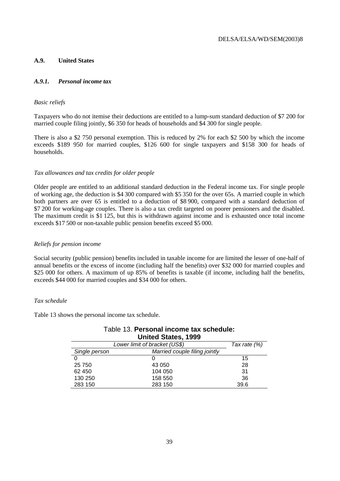### **A.9. United States**

### *A.9.1. Personal income tax*

### *Basic reliefs*

Taxpayers who do not itemise their deductions are entitled to a lump-sum standard deduction of \$7 200 for married couple filing jointly, \$6 350 for heads of households and \$4 300 for single people.

There is also a \$2 750 personal exemption. This is reduced by 2% for each \$2 500 by which the income exceeds \$189 950 for married couples, \$126 600 for single taxpayers and \$158 300 for heads of households.

### *Tax allowances and tax credits for older people*

Older people are entitled to an additional standard deduction in the Federal income tax. For single people of working age, the deduction is \$4 300 compared with \$5 350 for the over 65s. A married couple in which both partners are over 65 is entitled to a deduction of \$8 900, compared with a standard deduction of \$7 200 for working-age couples. There is also a tax credit targeted on poorer pensioners and the disabled. The maximum credit is \$1 125, but this is withdrawn against income and is exhausted once total income exceeds \$17 500 or non-taxable public pension benefits exceed \$5 000.

### *Reliefs for pension income*

Social security (public pension) benefits included in taxable income for are limited the lesser of one-half of annual benefits or the excess of income (including half the benefits) over \$32 000 for married couples and \$25 000 for others. A maximum of up 85% of benefits is taxable (if income, including half the benefits, exceeds \$44 000 for married couples and \$34 000 for others.

### *Tax schedule*

Table 13 shows the personal income tax schedule.

| <b>United States, 1999</b> |                               |                |
|----------------------------|-------------------------------|----------------|
|                            | Lower limit of bracket (US\$) | Tax rate $(%)$ |
| Single person              | Married couple filing jointly |                |
|                            |                               | 15             |
| 25 750                     | 43 050                        | 28             |
| 62 450                     | 104 050                       | 31             |
| 130 250                    | 158 550                       | 36             |
| 283 150                    | 283 150                       | 39.6           |

## Table 13. **Personal income tax schedule:**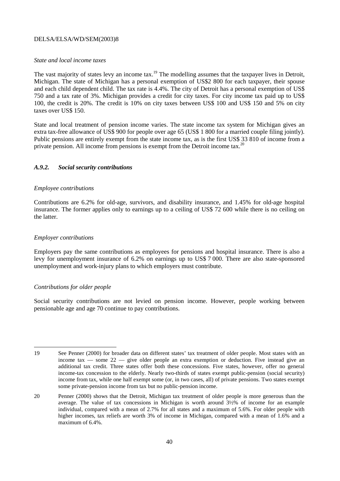### *State and local income taxes*

The vast majority of states levy an income tax.<sup>19</sup> The modelling assumes that the taxpayer lives in Detroit, Michigan. The state of Michigan has a personal exemption of US\$2 800 for each taxpayer, their spouse and each child dependent child. The tax rate is 4.4%. The city of Detroit has a personal exemption of US\$ 750 and a tax rate of 3%. Michigan provides a credit for city taxes. For city income tax paid up to US\$ 100, the credit is 20%. The credit is 10% on city taxes between US\$ 100 and US\$ 150 and 5% on city taxes over US\$ 150.

State and local treatment of pension income varies. The state income tax system for Michigan gives an extra tax-free allowance of US\$ 900 for people over age 65 (US\$ 1 800 for a married couple filing jointly). Public pensions are entirely exempt from the state income tax, as is the first US\$ 33 810 of income from a private pension. All income from pensions is exempt from the Detroit income tax.<sup>20</sup>

### *A.9.2. Social security contributions*

### *Employee contributions*

Contributions are 6.2% for old-age, survivors, and disability insurance, and 1.45% for old-age hospital insurance. The former applies only to earnings up to a ceiling of US\$ 72 600 while there is no ceiling on the latter.

### *Employer contributions*

Employers pay the same contributions as employees for pensions and hospital insurance. There is also a levy for unemployment insurance of 6.2% on earnings up to US\$ 7 000. There are also state-sponsored unemployment and work-injury plans to which employers must contribute.

### *Contributions for older people*

Social security contributions are not levied on pension income. However, people working between pensionable age and age 70 continue to pay contributions.

 19 See Penner (2000) for broader data on different states' tax treatment of older people. Most states with an income tax — some  $22$  — give older people an extra exemption or deduction. Five instead give an additional tax credit. Three states offer both these concessions. Five states, however, offer no general income-tax concession to the elderly. Nearly two-thirds of states exempt public-pension (social security) income from tax, while one half exempt some (or, in two cases, all) of private pensions. Two states exempt some private-pension income from tax but no public-pension income.

<sup>20</sup> Penner (2000) shows that the Detroit, Michigan tax treatment of older people is more generous than the average. The value of tax concessions in Michigan is worth around 3½% of income for an example individual, compared with a mean of 2.7% for all states and a maximum of 5.6%. For older people with higher incomes, tax reliefs are worth 3% of income in Michigan, compared with a mean of 1.6% and a maximum of 6.4%.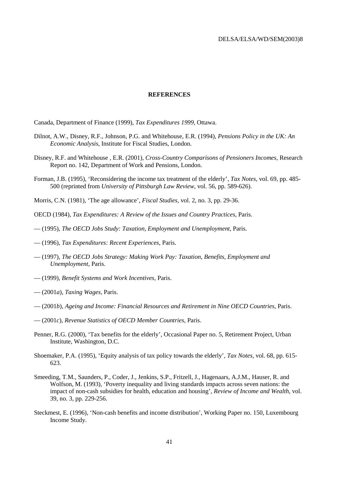### **REFERENCES**

Canada, Department of Finance (1999), *Tax Expenditures 1999*, Ottawa.

- Dilnot, A.W., Disney, R.F., Johnson, P.G. and Whitehouse, E.R. (1994), *Pensions Policy in the UK: An Economic Analysis*, Institute for Fiscal Studies, London.
- Disney, R.F. and Whitehouse , E.R. (2001), *Cross-Country Comparisons of Pensioners Incomes*, Research Report no. 142, Department of Work and Pensions, London.
- Forman, J.B. (1995), 'Reconsidering the income tax treatment of the elderly', *Tax Notes*, vol. 69, pp. 485- 500 (reprinted from *University of Pittsburgh Law Review*, vol. 56, pp. 589-626).
- Morris, C.N. (1981), 'The age allowance', *Fiscal Studies*, vol. 2, no. 3, pp. 29-36.
- OECD (1984), *Tax Expenditures: A Review of the Issues and Country Practices*, Paris.
- (1995), *The OECD Jobs Study: Taxation, Employment and Unemployment*, Paris.
- (1996), *Tax Expenditures: Recent Experiences*, Paris.
- (1997), *The OECD Jobs Strategy: Making Work Pay: Taxation, Benefits, Employment and Unemployment*, Paris.
- (1999), *Benefit Systems and Work Incentives*, Paris.
- (2001*a*), *Taxing Wages*, Paris.
- (2001*b*), *Ageing and Income: Financial Resources and Retirement in Nine OECD Countries*, Paris.
- (2001*c*), *Revenue Statistics of OECD Member Countries*, Paris.
- Penner, R.G. (2000), 'Tax benefits for the elderly', Occasional Paper no. 5, Retirement Project, Urban Institute, Washington, D.C.
- Shoemaker, P.A. (1995), 'Equity analysis of tax policy towards the elderly', *Tax Notes*, vol. 68, pp. 615- 623.
- Smeeding, T.M., Saunders, P., Coder, J., Jenkins, S.P., Fritzell, J., Hagenaars, A.J.M., Hauser, R. and Wolfson, M. (1993), 'Poverty inequality and living standards impacts across seven nations: the impact of non-cash subsidies for health, education and housing', *Review of Income and Wealth*, vol. 39, no. 3, pp. 229-256.
- Steckmest, E. (1996), 'Non-cash benefits and income distribution', Working Paper no. 150, Luxembourg Income Study.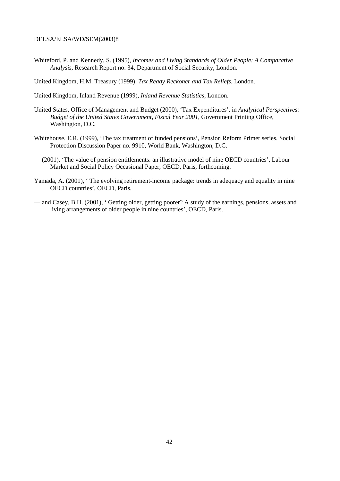Whiteford, P. and Kennedy, S. (1995), *Incomes and Living Standards of Older People: A Comparative Analysis*, Research Report no. 34, Department of Social Security, London.

United Kingdom, H.M. Treasury (1999), *Tax Ready Reckoner and Tax Reliefs*, London.

United Kingdom, Inland Revenue (1999), *Inland Revenue Statistics*, London.

- United States, Office of Management and Budget (2000), 'Tax Expenditures', in *Analytical Perspectives: Budget of the United States Government, Fiscal Year 2001*, Government Printing Office, Washington, D.C.
- Whitehouse, E.R. (1999), 'The tax treatment of funded pensions', Pension Reform Primer series, Social Protection Discussion Paper no. 9910, World Bank, Washington, D.C.
- (2001), 'The value of pension entitlements: an illustrative model of nine OECD countries', Labour Market and Social Policy Occasional Paper, OECD, Paris, forthcoming.
- Yamada, A. (2001), ' The evolving retirement-income package: trends in adequacy and equality in nine OECD countries', OECD, Paris.
- and Casey, B.H. (2001), ' Getting older, getting poorer? A study of the earnings, pensions, assets and living arrangements of older people in nine countries', OECD, Paris.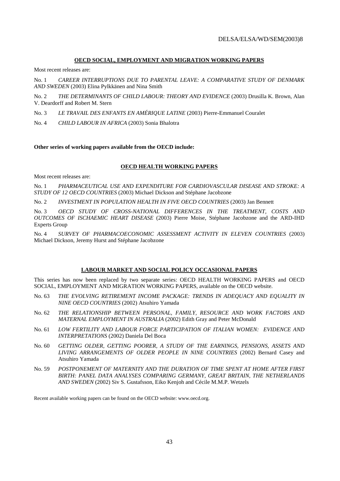### **OECD SOCIAL, EMPLOYMENT AND MIGRATION WORKING PAPERS**

Most recent releases are:

No. 1 *CAREER INTERRUPTIONS DUE TO PARENTAL LEAVE: A COMPARATIVE STUDY OF DENMARK AND SWEDEN* (2003) Elina Pylkkänen and Nina Smith

No. 2 THE DETERMINANTS OF CHILD LABOUR: THEORY AND EVIDENCE (2003) Drusilla K. Brown, Alan V. Deardorff and Robert M. Stern

No. 3 *LE TRAVAIL DES ENFANTS EN AMÉRIQUE LATINE* (2003) Pierre-Emmanuel Couralet

No. 4 *CHILD LABOUR IN AFRICA* (2003) Sonia Bhalotra

**Other series of working papers available from the OECD include:** 

### **OECD HEALTH WORKING PAPERS**

Most recent releases are:

No. 1 *PHARMACEUTICAL USE AND EXPENDITURE FOR CARDIOVASCULAR DISEASE AND STROKE: A STUDY OF 12 OECD COUNTRIES* (2003) Michael Dickson and Stéphane Jacobzone

No. 2 *INVESTMENT IN POPULATION HEALTH IN FIVE OECD COUNTRIES* (2003) Jan Bennett

No. 3 *OECD STUDY OF CROSS-NATIONAL DIFFERENCES IN THE TREATMENT, COSTS AND OUTCOMES OF ISCHAEMIC HEART DISEASE* (2003) Pierre Moise, Stéphane Jacobzone and the ARD-IHD Experts Group

No. 4 SURVEY OF PHARMACOECONOMIC ASSESSMENT ACTIVITY IN ELEVEN COUNTRIES (2003) Michael Dickson, Jeremy Hurst and Stéphane Jacobzone

### **LABOUR MARKET AND SOCIAL POLICY OCCASIONAL PAPERS**

This series has now been replaced by two separate series: OECD HEALTH WORKING PAPERS and OECD SOCIAL, EMPLOYMENT AND MIGRATION WORKING PAPERS, available on the OECD website.

- No. 63 *THE EVOLVING RETIREMENT INCOME PACKAGE: TRENDS IN ADEQUACY AND EQUALITY IN NINE OECD COUNTRIES* (2002) Atsuhiro Yamada
- No. 62 *THE RELATIONSHIP BETWEEN PERSONAL, FAMILY, RESOURCE AND WORK FACTORS AND MATERNAL EMPLOYMENT IN AUSTRALIA* (2002) Edith Gray and Peter McDonald
- No. 61 *LOW FERTILITY AND LABOUR FORCE PARTICIPATION OF ITALIAN WOMEN: EVIDENCE AND INTERPRETATIONS* (2002) Daniela Del Boca
- No. 60 *GETTING OLDER, GETTING POORER, A STUDY OF THE EARNINGS, PENSIONS, ASSETS AND LIVING ARRANGEMENTS OF OLDER PEOPLE IN NINE COUNTRIES* (2002) Bernard Casey and Atsuhiro Yamada
- No. 59 *POSTPONEMENT OF MATERNITY AND THE DURATION OF TIME SPENT AT HOME AFTER FIRST BIRTH: PANEL DATA ANALYSES COMPARING GERMANY, GREAT BRITAIN, THE NETHERLANDS AND SWEDEN* (2002) Siv S. Gustafsson, Eiko Kenjoh and Cécile M.M.P. Wetzels

Recent available working papers can be found on the OECD website: www.oecd.org.